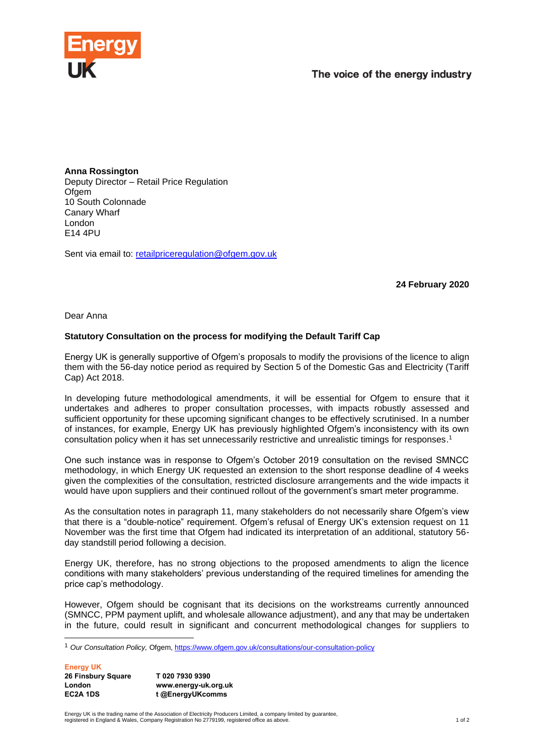

**Anna Rossington** Deputy Director – Retail Price Regulation Ofgem 10 South Colonnade Canary Wharf London E14 4PU

Sent via email to: [retailpriceregulation@ofgem.gov.uk](mailto:retailpriceregulation@ofgem.gov.uk)

**24 February 2020**

Dear Anna

## **Statutory Consultation on the process for modifying the Default Tariff Cap**

Energy UK is generally supportive of Ofgem's proposals to modify the provisions of the licence to align them with the 56-day notice period as required by Section 5 of the Domestic Gas and Electricity (Tariff Cap) Act 2018.

In developing future methodological amendments, it will be essential for Ofgem to ensure that it undertakes and adheres to proper consultation processes, with impacts robustly assessed and sufficient opportunity for these upcoming significant changes to be effectively scrutinised. In a number of instances, for example, Energy UK has previously highlighted Ofgem's inconsistency with its own consultation policy when it has set unnecessarily restrictive and unrealistic timings for responses. 1

One such instance was in response to Ofgem's October 2019 consultation on the revised SMNCC methodology, in which Energy UK requested an extension to the short response deadline of 4 weeks given the complexities of the consultation, restricted disclosure arrangements and the wide impacts it would have upon suppliers and their continued rollout of the government's smart meter programme.

As the consultation notes in paragraph 11, many stakeholders do not necessarily share Ofgem's view that there is a "double-notice" requirement. Ofgem's refusal of Energy UK's extension request on 11 November was the first time that Ofgem had indicated its interpretation of an additional, statutory 56 day standstill period following a decision.

Energy UK, therefore, has no strong objections to the proposed amendments to align the licence conditions with many stakeholders' previous understanding of the required timelines for amending the price cap's methodology.

However, Ofgem should be cognisant that its decisions on the workstreams currently announced (SMNCC, PPM payment uplift, and wholesale allowance adjustment), and any that may be undertaken in the future, could result in significant and concurrent methodological changes for suppliers to

**Energy UK**

| 26 Finsbury Square | T02079309390         |
|--------------------|----------------------|
| London             | www.energy-uk.org.uk |
| EC2A 1DS           | t @EnergyUKcomms     |

Energy UK is the trading name of the Association of Electricity Producers Limited, a company limited by guarantee,<br>registered in England & Wales, Company Registration No 2779199, registered office as above.

<sup>1</sup> *Our Consultation Policy,* Ofgem,<https://www.ofgem.gov.uk/consultations/our-consultation-policy>